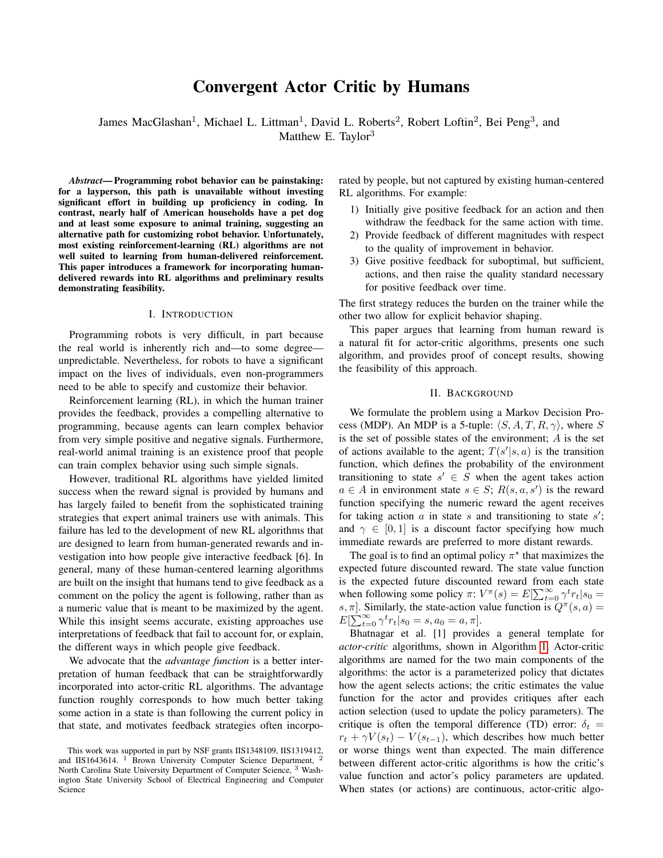# Convergent Actor Critic by Humans

James MacGlashan<sup>1</sup>, Michael L. Littman<sup>1</sup>, David L. Roberts<sup>2</sup>, Robert Loftin<sup>2</sup>, Bei Peng<sup>3</sup>, and Matthew E. Taylor<sup>3</sup>

*Abstract*— Programming robot behavior can be painstaking: for a layperson, this path is unavailable without investing significant effort in building up proficiency in coding. In contrast, nearly half of American households have a pet dog and at least some exposure to animal training, suggesting an alternative path for customizing robot behavior. Unfortunately, most existing reinforcement-learning (RL) algorithms are not well suited to learning from human-delivered reinforcement. This paper introduces a framework for incorporating humandelivered rewards into RL algorithms and preliminary results demonstrating feasibility.

#### I. INTRODUCTION

Programming robots is very difficult, in part because the real world is inherently rich and—to some degree unpredictable. Nevertheless, for robots to have a significant impact on the lives of individuals, even non-programmers need to be able to specify and customize their behavior.

Reinforcement learning (RL), in which the human trainer provides the feedback, provides a compelling alternative to programming, because agents can learn complex behavior from very simple positive and negative signals. Furthermore, real-world animal training is an existence proof that people can train complex behavior using such simple signals.

However, traditional RL algorithms have yielded limited success when the reward signal is provided by humans and has largely failed to benefit from the sophisticated training strategies that expert animal trainers use with animals. This failure has led to the development of new RL algorithms that are designed to learn from human-generated rewards and investigation into how people give interactive feedback [6]. In general, many of these human-centered learning algorithms are built on the insight that humans tend to give feedback as a comment on the policy the agent is following, rather than as a numeric value that is meant to be maximized by the agent. While this insight seems accurate, existing approaches use interpretations of feedback that fail to account for, or explain, the different ways in which people give feedback.

We advocate that the *advantage function* is a better interpretation of human feedback that can be straightforwardly incorporated into actor-critic RL algorithms. The advantage function roughly corresponds to how much better taking some action in a state is than following the current policy in that state, and motivates feedback strategies often incorporated by people, but not captured by existing human-centered RL algorithms. For example:

- 1) Initially give positive feedback for an action and then withdraw the feedback for the same action with time.
- 2) Provide feedback of different magnitudes with respect to the quality of improvement in behavior.
- 3) Give positive feedback for suboptimal, but sufficient, actions, and then raise the quality standard necessary for positive feedback over time.

The first strategy reduces the burden on the trainer while the other two allow for explicit behavior shaping.

This paper argues that learning from human reward is a natural fit for actor-critic algorithms, presents one such algorithm, and provides proof of concept results, showing the feasibility of this approach.

### II. BACKGROUND

We formulate the problem using a Markov Decision Process (MDP). An MDP is a 5-tuple:  $\langle S, A, T, R, \gamma \rangle$ , where S is the set of possible states of the environment;  $A$  is the set of actions available to the agent;  $T(s'|s, a)$  is the transition function, which defines the probability of the environment transitioning to state  $s' \in S$  when the agent takes action  $a \in A$  in environment state  $s \in S$ ;  $R(s, a, s')$  is the reward function specifying the numeric reward the agent receives for taking action  $a$  in state  $s$  and transitioning to state  $s'$ ; and  $\gamma \in [0, 1]$  is a discount factor specifying how much immediate rewards are preferred to more distant rewards.

The goal is to find an optimal policy  $\pi^*$  that maximizes the expected future discounted reward. The state value function is the expected future discounted reward from each state when following some policy  $\pi: V^{\pi}(s) = E[\sum_{t=0}^{\infty} \gamma^t r_t | s_0 =$ s,  $\pi$ ]. Similarly, the state-action value function is  $Q^{\pi}(s, a) =$  $E[\sum_{t=0}^{\infty} \gamma^t r_t | s_0 = s, a_0 = a, \pi].$ 

Bhatnagar et al. [1] provides a general template for *actor-critic* algorithms, shown in Algorithm [1.](#page-1-0) Actor-critic algorithms are named for the two main components of the algorithms: the actor is a parameterized policy that dictates how the agent selects actions; the critic estimates the value function for the actor and provides critiques after each action selection (used to update the policy parameters). The critique is often the temporal difference (TD) error:  $\delta_t$  =  $r_t + \gamma V(s_t) - V(s_{t-1})$ , which describes how much better or worse things went than expected. The main difference between different actor-critic algorithms is how the critic's value function and actor's policy parameters are updated. When states (or actions) are continuous, actor-critic algo-

This work was supported in part by NSF grants IIS1348109, IIS1319412, and IIS1643614. <sup>1</sup> Brown University Computer Science Department, <sup>2</sup> North Carolina State University Department of Computer Science, <sup>3</sup> Washington State University School of Electrical Engineering and Computer Science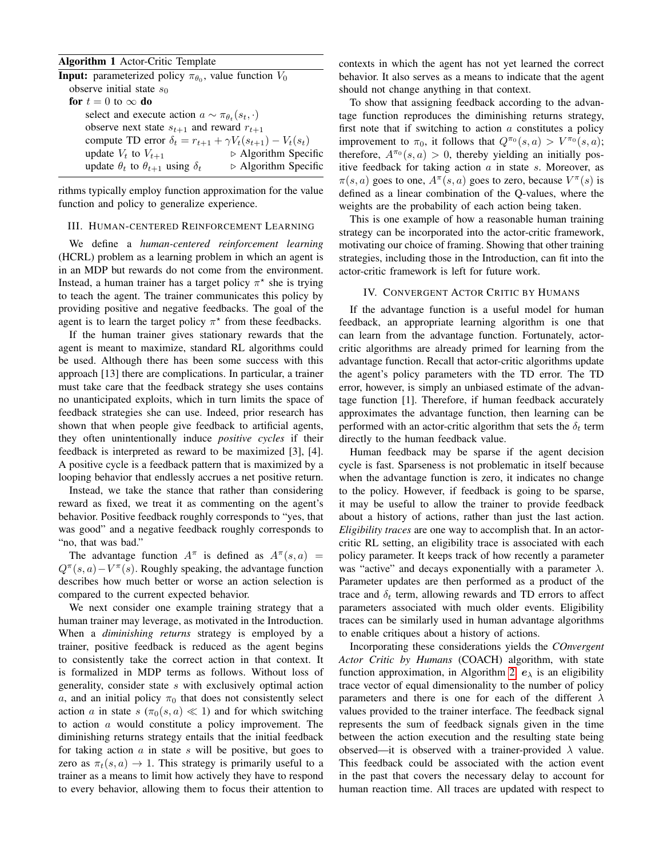## <span id="page-1-0"></span>Algorithm 1 Actor-Critic Template

| <b>Input:</b> parameterized policy $\pi_{\theta_0}$ , value function $V_0$ |                                     |
|----------------------------------------------------------------------------|-------------------------------------|
| observe initial state $s_0$                                                |                                     |
| for $t=0$ to $\infty$ do                                                   |                                     |
| select and execute action $a \sim \pi_{\theta_t}(s_t, \cdot)$              |                                     |
| observe next state $s_{t+1}$ and reward $r_{t+1}$                          |                                     |
| compute TD error $\delta_t = r_{t+1} + \gamma V_t(s_{t+1}) - V_t(s_t)$     |                                     |
| update $V_t$ to $V_{t+1}$                                                  | $\triangleright$ Algorithm Specific |
| update $\theta_t$ to $\theta_{t+1}$ using $\delta_t$                       | $\triangleright$ Algorithm Specific |
|                                                                            |                                     |

rithms typically employ function approximation for the value function and policy to generalize experience.

## III. HUMAN-CENTERED REINFORCEMENT LEARNING

We define a *human-centered reinforcement learning* (HCRL) problem as a learning problem in which an agent is in an MDP but rewards do not come from the environment. Instead, a human trainer has a target policy  $\pi^*$  she is trying to teach the agent. The trainer communicates this policy by providing positive and negative feedbacks. The goal of the agent is to learn the target policy  $\pi^*$  from these feedbacks.

If the human trainer gives stationary rewards that the agent is meant to maximize, standard RL algorithms could be used. Although there has been some success with this approach [13] there are complications. In particular, a trainer must take care that the feedback strategy she uses contains no unanticipated exploits, which in turn limits the space of feedback strategies she can use. Indeed, prior research has shown that when people give feedback to artificial agents, they often unintentionally induce *positive cycles* if their feedback is interpreted as reward to be maximized [3], [4]. A positive cycle is a feedback pattern that is maximized by a looping behavior that endlessly accrues a net positive return.

Instead, we take the stance that rather than considering reward as fixed, we treat it as commenting on the agent's behavior. Positive feedback roughly corresponds to "yes, that was good" and a negative feedback roughly corresponds to "no, that was bad."

The advantage function  $A^{\pi}$  is defined as  $A^{\pi}(s, a)$  =  $Q^{\pi}(s, a) - V^{\pi}(s)$ . Roughly speaking, the advantage function describes how much better or worse an action selection is compared to the current expected behavior.

We next consider one example training strategy that a human trainer may leverage, as motivated in the Introduction. When a *diminishing returns* strategy is employed by a trainer, positive feedback is reduced as the agent begins to consistently take the correct action in that context. It is formalized in MDP terms as follows. Without loss of generality, consider state s with exclusively optimal action a, and an initial policy  $\pi_0$  that does not consistently select action a in state  $s(\pi_0(s, a) \ll 1)$  and for which switching to action a would constitute a policy improvement. The diminishing returns strategy entails that the initial feedback for taking action  $a$  in state  $s$  will be positive, but goes to zero as  $\pi_t(s, a) \to 1$ . This strategy is primarily useful to a trainer as a means to limit how actively they have to respond to every behavior, allowing them to focus their attention to contexts in which the agent has not yet learned the correct behavior. It also serves as a means to indicate that the agent should not change anything in that context.

To show that assigning feedback according to the advantage function reproduces the diminishing returns strategy, first note that if switching to action  $\alpha$  constitutes a policy improvement to  $\pi_0$ , it follows that  $Q^{\pi_0}(s, a) > V^{\pi_0}(s, a)$ ; therefore,  $A^{\pi_0}(s, a) > 0$ , thereby yielding an initially positive feedback for taking action  $a$  in state  $s$ . Moreover, as  $\pi(s, a)$  goes to one,  $A^{\pi}(s, a)$  goes to zero, because  $V^{\pi}(s)$  is defined as a linear combination of the Q-values, where the weights are the probability of each action being taken.

This is one example of how a reasonable human training strategy can be incorporated into the actor-critic framework, motivating our choice of framing. Showing that other training strategies, including those in the Introduction, can fit into the actor-critic framework is left for future work.

## IV. CONVERGENT ACTOR CRITIC BY HUMANS

If the advantage function is a useful model for human feedback, an appropriate learning algorithm is one that can learn from the advantage function. Fortunately, actorcritic algorithms are already primed for learning from the advantage function. Recall that actor-critic algorithms update the agent's policy parameters with the TD error. The TD error, however, is simply an unbiased estimate of the advantage function [1]. Therefore, if human feedback accurately approximates the advantage function, then learning can be performed with an actor-critic algorithm that sets the  $\delta_t$  term directly to the human feedback value.

Human feedback may be sparse if the agent decision cycle is fast. Sparseness is not problematic in itself because when the advantage function is zero, it indicates no change to the policy. However, if feedback is going to be sparse, it may be useful to allow the trainer to provide feedback about a history of actions, rather than just the last action. *Eligibility traces* are one way to accomplish that. In an actorcritic RL setting, an eligibility trace is associated with each policy parameter. It keeps track of how recently a parameter was "active" and decays exponentially with a parameter  $\lambda$ . Parameter updates are then performed as a product of the trace and  $\delta_t$  term, allowing rewards and TD errors to affect parameters associated with much older events. Eligibility traces can be similarly used in human advantage algorithms to enable critiques about a history of actions.

Incorporating these considerations yields the *COnvergent Actor Critic by Humans* (COACH) algorithm, with state function approximation, in Algorithm [2.](#page-2-0)  $e_{\lambda}$  is an eligibility trace vector of equal dimensionality to the number of policy parameters and there is one for each of the different  $\lambda$ values provided to the trainer interface. The feedback signal represents the sum of feedback signals given in the time between the action execution and the resulting state being observed—it is observed with a trainer-provided  $\lambda$  value. This feedback could be associated with the action event in the past that covers the necessary delay to account for human reaction time. All traces are updated with respect to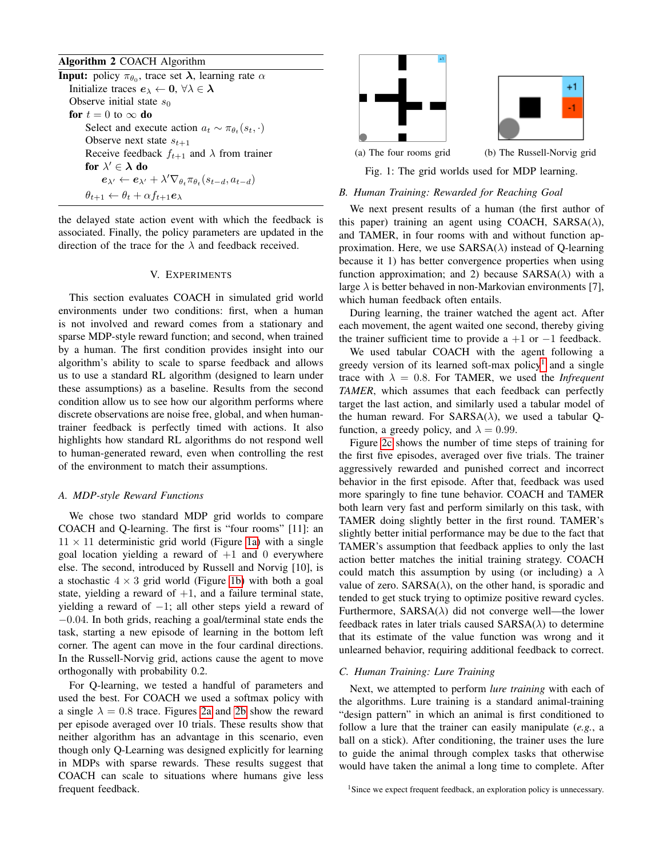# <span id="page-2-0"></span>Algorithm 2 COACH Algorithm

**Input:** policy  $\pi_{\theta_0}$ , trace set  $\lambda$ , learning rate  $\alpha$ Initialize traces  $e_{\lambda} \leftarrow 0, \forall \lambda \in \lambda$ Observe initial state  $s_0$ for  $t = 0$  to  $\infty$  do Select and execute action  $a_t \sim \pi_{\theta_t}(s_t, \cdot)$ Observe next state  $s_{t+1}$ Receive feedback  $f_{t+1}$  and  $\lambda$  from trainer for  $\lambda' \in \lambda$  do  $\boldsymbol{e}_{\lambda'} \leftarrow \boldsymbol{e}_{\lambda'} + \lambda' \nabla_{\theta_t} \pi_{\theta_t}(s_{t-d}, a_{t-d})$  $\theta_{t+1} \leftarrow \theta_t + \alpha f_{t+1} \mathbf{e}_{\lambda}$ 

the delayed state action event with which the feedback is associated. Finally, the policy parameters are updated in the direction of the trace for the  $\lambda$  and feedback received.

# V. EXPERIMENTS

This section evaluates COACH in simulated grid world environments under two conditions: first, when a human is not involved and reward comes from a stationary and sparse MDP-style reward function; and second, when trained by a human. The first condition provides insight into our algorithm's ability to scale to sparse feedback and allows us to use a standard RL algorithm (designed to learn under these assumptions) as a baseline. Results from the second condition allow us to see how our algorithm performs where discrete observations are noise free, global, and when humantrainer feedback is perfectly timed with actions. It also highlights how standard RL algorithms do not respond well to human-generated reward, even when controlling the rest of the environment to match their assumptions.

#### *A. MDP-style Reward Functions*

We chose two standard MDP grid worlds to compare COACH and Q-learning. The first is "four rooms" [11]: an  $11 \times 11$  deterministic grid world (Figure [1a\)](#page-2-1) with a single goal location yielding a reward of  $+1$  and 0 everywhere else. The second, introduced by Russell and Norvig [10], is a stochastic  $4 \times 3$  grid world (Figure [1b\)](#page-2-1) with both a goal state, yielding a reward of  $+1$ , and a failure terminal state, yielding a reward of −1; all other steps yield a reward of −0.04. In both grids, reaching a goal/terminal state ends the task, starting a new episode of learning in the bottom left corner. The agent can move in the four cardinal directions. In the Russell-Norvig grid, actions cause the agent to move orthogonally with probability 0.2.

For Q-learning, we tested a handful of parameters and used the best. For COACH we used a softmax policy with a single  $\lambda = 0.8$  trace. Figures [2a](#page-3-0) and [2b](#page-3-0) show the reward per episode averaged over 10 trials. These results show that neither algorithm has an advantage in this scenario, even though only Q-Learning was designed explicitly for learning in MDPs with sparse rewards. These results suggest that COACH can scale to situations where humans give less frequent feedback.

<span id="page-2-1"></span>

Fig. 1: The grid worlds used for MDP learning.

#### *B. Human Training: Rewarded for Reaching Goal*

We next present results of a human (the first author of this paper) training an agent using COACH,  $SARSA(\lambda)$ , and TAMER, in four rooms with and without function approximation. Here, we use  $SARSA(\lambda)$  instead of Q-learning because it 1) has better convergence properties when using function approximation; and 2) because  $SARSA(\lambda)$  with a large  $\lambda$  is better behaved in non-Markovian environments [7], which human feedback often entails.

During learning, the trainer watched the agent act. After each movement, the agent waited one second, thereby giving the trainer sufficient time to provide a  $+1$  or  $-1$  feedback.

We used tabular COACH with the agent following a greedy version of its learned soft-max policy<sup>[1](#page-2-2)</sup> and a single trace with  $\lambda = 0.8$ . For TAMER, we used the *Infrequent TAMER*, which assumes that each feedback can perfectly target the last action, and similarly used a tabular model of the human reward. For SARSA( $\lambda$ ), we used a tabular Qfunction, a greedy policy, and  $\lambda = 0.99$ .

Figure [2c](#page-3-0) shows the number of time steps of training for the first five episodes, averaged over five trials. The trainer aggressively rewarded and punished correct and incorrect behavior in the first episode. After that, feedback was used more sparingly to fine tune behavior. COACH and TAMER both learn very fast and perform similarly on this task, with TAMER doing slightly better in the first round. TAMER's slightly better initial performance may be due to the fact that TAMER's assumption that feedback applies to only the last action better matches the initial training strategy. COACH could match this assumption by using (or including) a  $\lambda$ value of zero.  $SARSA(\lambda)$ , on the other hand, is sporadic and tended to get stuck trying to optimize positive reward cycles. Furthermore,  $SARSA(\lambda)$  did not converge well—the lower feedback rates in later trials caused  $SARSA(\lambda)$  to determine that its estimate of the value function was wrong and it unlearned behavior, requiring additional feedback to correct.

## *C. Human Training: Lure Training*

Next, we attempted to perform *lure training* with each of the algorithms. Lure training is a standard animal-training "design pattern" in which an animal is first conditioned to follow a lure that the trainer can easily manipulate (*e.g.*, a ball on a stick). After conditioning, the trainer uses the lure to guide the animal through complex tasks that otherwise would have taken the animal a long time to complete. After

<span id="page-2-2"></span><sup>&</sup>lt;sup>1</sup>Since we expect frequent feedback, an exploration policy is unnecessary.